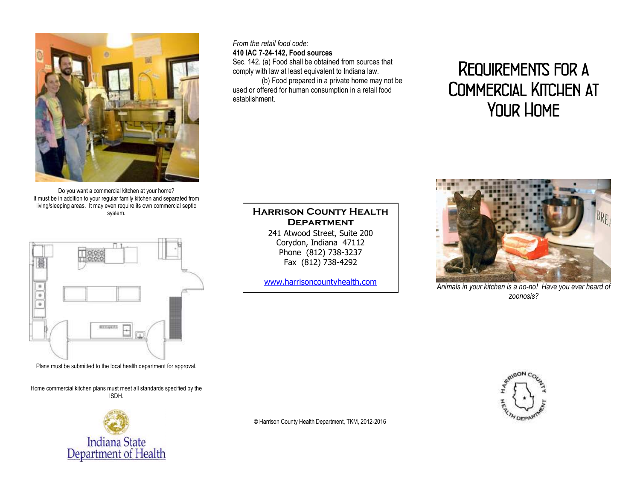

Do you want a commercial kitchen at your home? It must be in addition to your regular family kitchen and separated from living/sleeping areas. It may even require its own commercial septic system.



Plans must be submitted to the local health department for approval.

Home commercial kitchen plans must meet all standards specified by the ISDH.



*From the retail food code:*

#### **410 IAC 7-24-142, Food sources**

Sec. 142. (a) Food shall be obtained from sources that comply with law at least equivalent to Indiana law.

(b) Food prepared in a private home may not be used or offered for human consumption in a retail food establishment.

# *Requirements for a Commercial Kitchen at Your Home*



*Animals in your kitchen is a no-no! Have you ever heard of zoonosis?*

**Harrison County Health Department** 241 Atwood Street, Suite 200 Corydon, Indiana 47112 Phone (812) 738-3237 Fax (812) 738-4292

[www.harrisoncountyhealth.com](http://www.harrisoncountyhealth.com/)

© Harrison County Health Department, TKM, 2012-2016